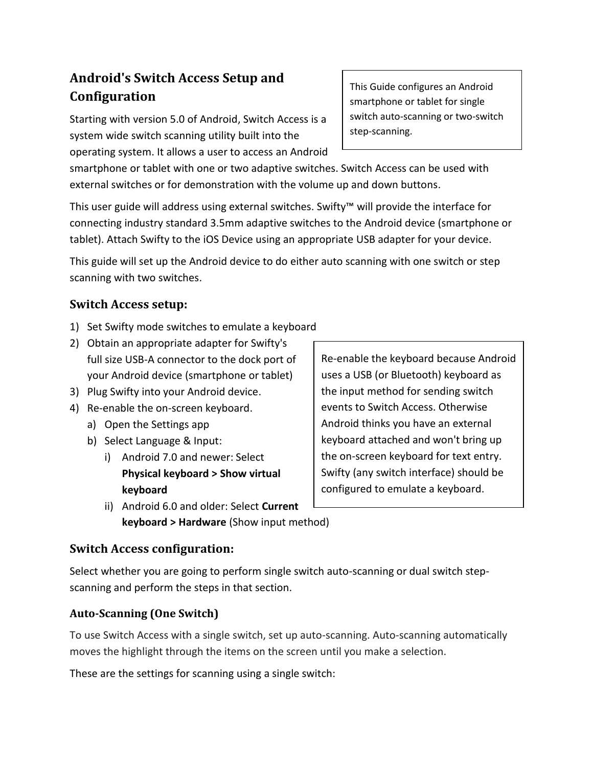# **Android's Switch Access Setup and Configuration**

Starting with version 5.0 of Android, Switch Access is a system wide switch scanning utility built into the operating system. It allows a user to access an Android This Guide configures an Android smartphone or tablet for single switch auto-scanning or two-switch step-scanning.

smartphone or tablet with one or two adaptive switches. Switch Access can be used with external switches or for demonstration with the volume up and down buttons.

This user guide will address using external switches. Swifty™ will provide the interface for connecting industry standard 3.5mm adaptive switches to the Android device (smartphone or tablet). Attach Swifty to the iOS Device using an appropriate USB adapter for your device.

This guide will set up the Android device to do either auto scanning with one switch or step scanning with two switches.

# **Switch Access setup:**

- 1) Set Swifty mode switches to emulate a keyboard
- 2) Obtain an appropriate adapter for Swifty's full size USB-A connector to the dock port of your Android device (smartphone or tablet)
- 3) Plug Swifty into your Android device.
- 4) Re-enable the on-screen keyboard.
	- a) Open the Settings app
	- b) Select Language & Input:
		- i) Android 7.0 and newer: Select **Physical keyboard > Show virtual keyboard**
		- ii) Android 6.0 and older: Select **Current keyboard > Hardware** (Show input method)

Re-enable the keyboard because Android uses a USB (or Bluetooth) keyboard as the input method for sending switch events to Switch Access. Otherwise Android thinks you have an external keyboard attached and won't bring up the on-screen keyboard for text entry. Swifty (any switch interface) should be configured to emulate a keyboard.

## **Switch Access configuration:**

Select whether you are going to perform single switch auto-scanning or dual switch stepscanning and perform the steps in that section.

## **Auto-Scanning (One Switch)**

To use Switch Access with a single switch, set up auto-scanning. Auto-scanning automatically moves the highlight through the items on the screen until you make a selection.

These are the settings for scanning using a single switch: